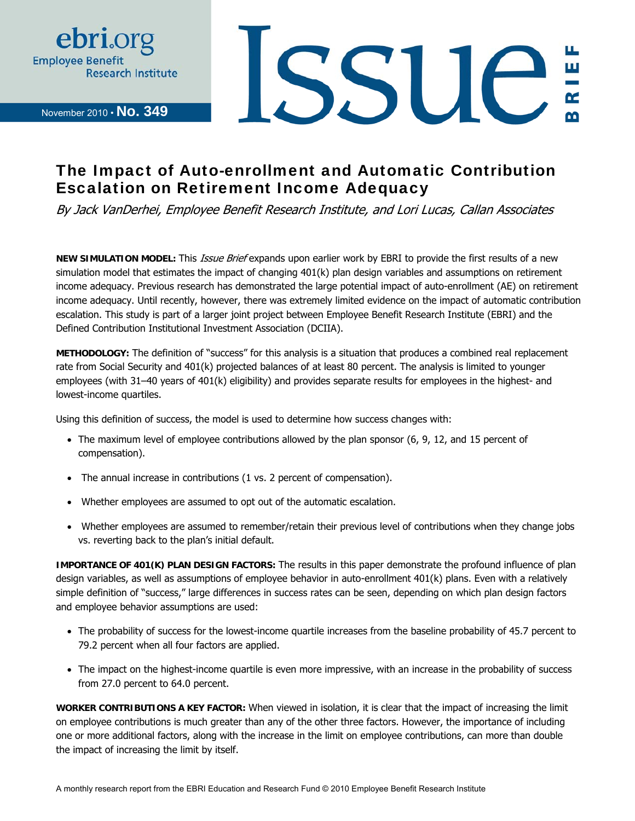

November 2010 • **No. 349**



## The Impact of Auto-enrollment and Automatic Contribution Escalation on Retirement Income Adequacy

By Jack VanDerhei, Employee Benefit Research Institute, and Lori Lucas, Callan Associates

**NEW SIMULATION MODEL:** This *Issue Brief* expands upon earlier work by EBRI to provide the first results of a new simulation model that estimates the impact of changing 401(k) plan design variables and assumptions on retirement income adequacy. Previous research has demonstrated the large potential impact of auto-enrollment (AE) on retirement income adequacy. Until recently, however, there was extremely limited evidence on the impact of automatic contribution escalation. This study is part of a larger joint project between Employee Benefit Research Institute (EBRI) and the Defined Contribution Institutional Investment Association (DCIIA).

**METHODOLOGY:** The definition of "success" for this analysis is a situation that produces a combined real replacement rate from Social Security and 401(k) projected balances of at least 80 percent. The analysis is limited to younger employees (with 31–40 years of 401(k) eligibility) and provides separate results for employees in the highest- and lowest-income quartiles.

Using this definition of success, the model is used to determine how success changes with:

- The maximum level of employee contributions allowed by the plan sponsor (6, 9, 12, and 15 percent of compensation).
- The annual increase in contributions (1 vs. 2 percent of compensation).
- Whether employees are assumed to opt out of the automatic escalation.
- Whether employees are assumed to remember/retain their previous level of contributions when they change jobs vs. reverting back to the plan's initial default.

**IMPORTANCE OF 401(K) PLAN DESIGN FACTORS:** The results in this paper demonstrate the profound influence of plan design variables, as well as assumptions of employee behavior in auto-enrollment 401(k) plans. Even with a relatively simple definition of "success," large differences in success rates can be seen, depending on which plan design factors and employee behavior assumptions are used:

- The probability of success for the lowest-income quartile increases from the baseline probability of 45.7 percent to 79.2 percent when all four factors are applied.
- The impact on the highest-income quartile is even more impressive, with an increase in the probability of success from 27.0 percent to 64.0 percent.

**WORKER CONTRIBUTIONS A KEY FACTOR:** When viewed in isolation, it is clear that the impact of increasing the limit on employee contributions is much greater than any of the other three factors. However, the importance of including one or more additional factors, along with the increase in the limit on employee contributions, can more than double the impact of increasing the limit by itself.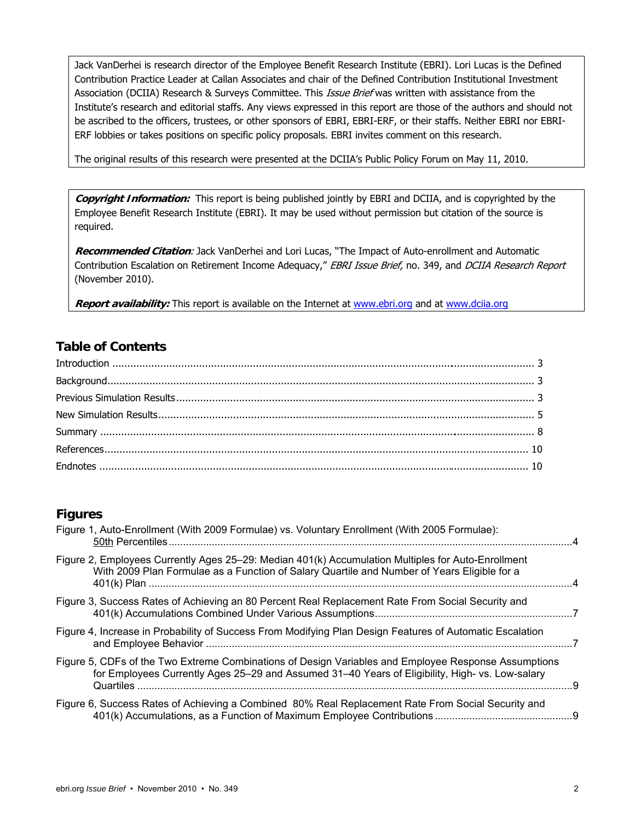Jack VanDerhei is research director of the Employee Benefit Research Institute (EBRI). Lori Lucas is the Defined Contribution Practice Leader at Callan Associates and chair of the Defined Contribution Institutional Investment Association (DCIIA) Research & Surveys Committee. This *Issue Brief* was written with assistance from the Institute's research and editorial staffs. Any views expressed in this report are those of the authors and should not be ascribed to the officers, trustees, or other sponsors of EBRI, EBRI-ERF, or their staffs. Neither EBRI nor EBRI-ERF lobbies or takes positions on specific policy proposals. EBRI invites comment on this research.

The original results of this research were presented at the DCIIA's Public Policy Forum on May 11, 2010.

**Copyright Information:** This report is being published jointly by EBRI and DCIIA, and is copyrighted by the Employee Benefit Research Institute (EBRI). It may be used without permission but citation of the source is required.

**Recommended Citation**: Jack VanDerhei and Lori Lucas, "The Impact of Auto-enrollment and Automatic Contribution Escalation on Retirement Income Adequacy," EBRI Issue Brief, no. 349, and DCIIA Research Report (November 2010).

**Report availability:** This report is available on the Internet at www.ebri.org and at www.dciia.org

#### **Table of Contents**

#### **Figures**

| Figure 1, Auto-Enrollment (With 2009 Formulae) vs. Voluntary Enrollment (With 2005 Formulae):                                                                                                                               |  |
|-----------------------------------------------------------------------------------------------------------------------------------------------------------------------------------------------------------------------------|--|
| Figure 2, Employees Currently Ages 25–29: Median 401(k) Accumulation Multiples for Auto-Enrollment<br>With 2009 Plan Formulae as a Function of Salary Quartile and Number of Years Eligible for a                           |  |
| Figure 3, Success Rates of Achieving an 80 Percent Real Replacement Rate From Social Security and                                                                                                                           |  |
| Figure 4, Increase in Probability of Success From Modifying Plan Design Features of Automatic Escalation                                                                                                                    |  |
| Figure 5, CDFs of the Two Extreme Combinations of Design Variables and Employee Response Assumptions<br>for Employees Currently Ages 25–29 and Assumed 31–40 Years of Eligibility, High- vs. Low-salary<br><b>Quartiles</b> |  |
| Figure 6, Success Rates of Achieving a Combined 80% Real Replacement Rate From Social Security and                                                                                                                          |  |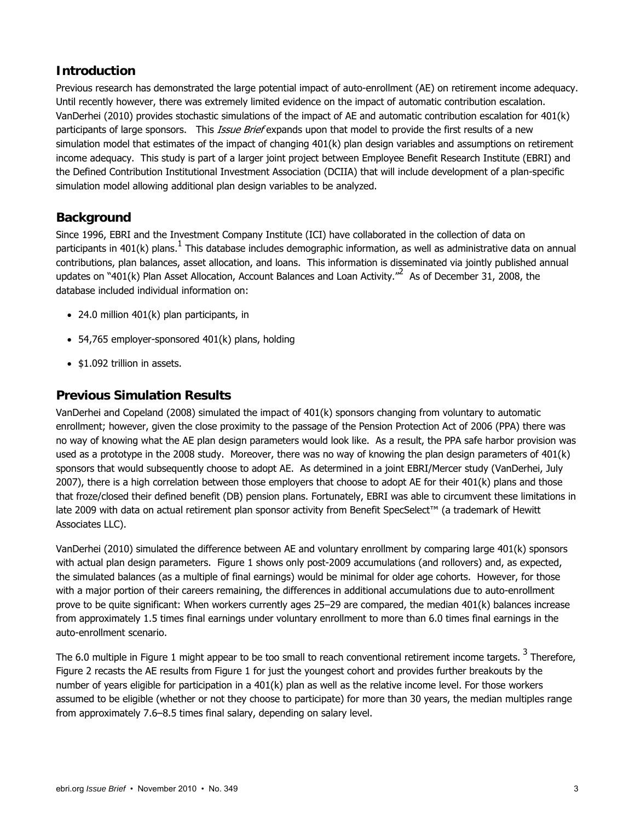#### **Introduction**

Previous research has demonstrated the large potential impact of auto-enrollment (AE) on retirement income adequacy. Until recently however, there was extremely limited evidence on the impact of automatic contribution escalation. VanDerhei (2010) provides stochastic simulations of the impact of AE and automatic contribution escalation for 401(k) participants of large sponsors. This Issue Brief expands upon that model to provide the first results of a new simulation model that estimates of the impact of changing 401(k) plan design variables and assumptions on retirement income adequacy. This study is part of a larger joint project between Employee Benefit Research Institute (EBRI) and the Defined Contribution Institutional Investment Association (DCIIA) that will include development of a plan-specific simulation model allowing additional plan design variables to be analyzed.

#### **Background**

Since 1996, EBRI and the Investment Company Institute (ICI) have collaborated in the collection of data on participants in 401(k) plans.  $^1$  This database includes demographic information, as well as administrative data on annual contributions, plan balances, asset allocation, and loans. This information is disseminated via jointly published annual updates on "401(k) Plan Asset Allocation, Account Balances and Loan Activity." As of December 31, 2008, the database included individual information on:

- 24.0 million 401(k) plan participants, in
- 54,765 employer-sponsored 401(k) plans, holding
- \$1.092 trillion in assets.

#### **Previous Simulation Results**

VanDerhei and Copeland (2008) simulated the impact of 401(k) sponsors changing from voluntary to automatic enrollment; however, given the close proximity to the passage of the Pension Protection Act of 2006 (PPA) there was no way of knowing what the AE plan design parameters would look like. As a result, the PPA safe harbor provision was used as a prototype in the 2008 study. Moreover, there was no way of knowing the plan design parameters of 401(k) sponsors that would subsequently choose to adopt AE. As determined in a joint EBRI/Mercer study (VanDerhei, July 2007), there is a high correlation between those employers that choose to adopt AE for their  $401(k)$  plans and those that froze/closed their defined benefit (DB) pension plans. Fortunately, EBRI was able to circumvent these limitations in late 2009 with data on actual retirement plan sponsor activity from Benefit SpecSelect™ (a trademark of Hewitt Associates LLC).

VanDerhei (2010) simulated the difference between AE and voluntary enrollment by comparing large 401(k) sponsors with actual plan design parameters. Figure 1 shows only post-2009 accumulations (and rollovers) and, as expected, the simulated balances (as a multiple of final earnings) would be minimal for older age cohorts. However, for those with a major portion of their careers remaining, the differences in additional accumulations due to auto-enrollment prove to be quite significant: When workers currently ages 25–29 are compared, the median 401(k) balances increase from approximately 1.5 times final earnings under voluntary enrollment to more than 6.0 times final earnings in the auto-enrollment scenario.

The 6.0 multiple in Figure 1 might appear to be too small to reach conventional retirement income targets.<sup>3</sup> Therefore, Figure 2 recasts the AE results from Figure 1 for just the youngest cohort and provides further breakouts by the number of years eligible for participation in a 401(k) plan as well as the relative income level. For those workers assumed to be eligible (whether or not they choose to participate) for more than 30 years, the median multiples range from approximately 7.6–8.5 times final salary, depending on salary level.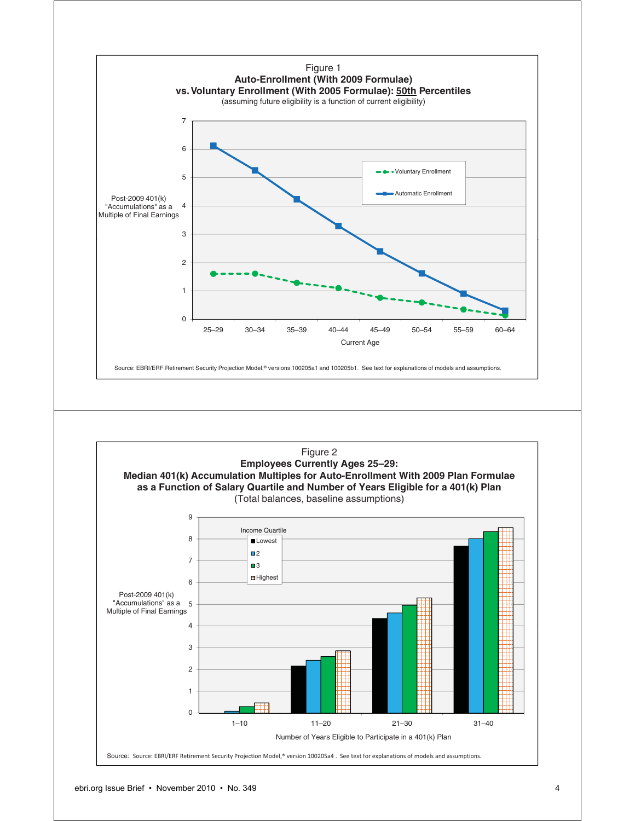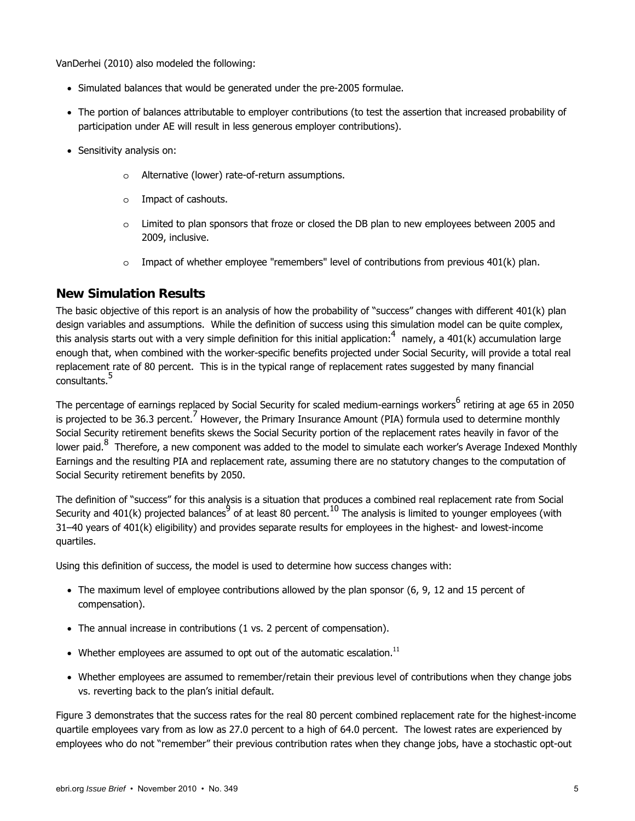VanDerhei (2010) also modeled the following:

- Simulated balances that would be generated under the pre-2005 formulae.
- The portion of balances attributable to employer contributions (to test the assertion that increased probability of participation under AE will result in less generous employer contributions).
- Sensitivity analysis on:
	- o Alternative (lower) rate-of-return assumptions.
	- o Impact of cashouts.
	- Limited to plan sponsors that froze or closed the DB plan to new employees between 2005 and 2009, inclusive.
	- $\circ$  Impact of whether employee "remembers" level of contributions from previous 401(k) plan.

#### **New Simulation Results**

The basic objective of this report is an analysis of how the probability of "success" changes with different 401(k) plan design variables and assumptions. While the definition of success using this simulation model can be quite complex, this analysis starts out with a very simple definition for this initial application:  $4\,$  namely, a 401(k) accumulation large enough that, when combined with the worker-specific benefits projected under Social Security, will provide a total real replacement rate of 80 percent. This is in the typical range of replacement rates suggested by many financial consultants.<sup>5</sup>

The percentage of earnings replaced by Social Security for scaled medium-earnings workers<sup>6</sup> retiring at age 65 in 2050 is projected to be 36.3 percent.<sup>7</sup> However, the Primary Insurance Amount (PIA) formula used to determine monthly Social Security retirement benefits skews the Social Security portion of the replacement rates heavily in favor of the lower paid.<sup>8</sup> Therefore, a new component was added to the model to simulate each worker's Average Indexed Monthly Earnings and the resulting PIA and replacement rate, assuming there are no statutory changes to the computation of Social Security retirement benefits by 2050.

The definition of "success" for this analysis is a situation that produces a combined real replacement rate from Social Security and 401(k) projected balances  $^9$  of at least 80 percent.  $^{10}$  The analysis is limited to younger employees (with 31–40 years of 401(k) eligibility) and provides separate results for employees in the highest- and lowest-income quartiles.

Using this definition of success, the model is used to determine how success changes with:

- The maximum level of employee contributions allowed by the plan sponsor (6, 9, 12 and 15 percent of compensation).
- The annual increase in contributions (1 vs. 2 percent of compensation).
- Whether employees are assumed to opt out of the automatic escalation.<sup>11</sup>
- Whether employees are assumed to remember/retain their previous level of contributions when they change jobs vs. reverting back to the plan's initial default.

Figure 3 demonstrates that the success rates for the real 80 percent combined replacement rate for the highest-income quartile employees vary from as low as 27.0 percent to a high of 64.0 percent. The lowest rates are experienced by employees who do not "remember" their previous contribution rates when they change jobs, have a stochastic opt-out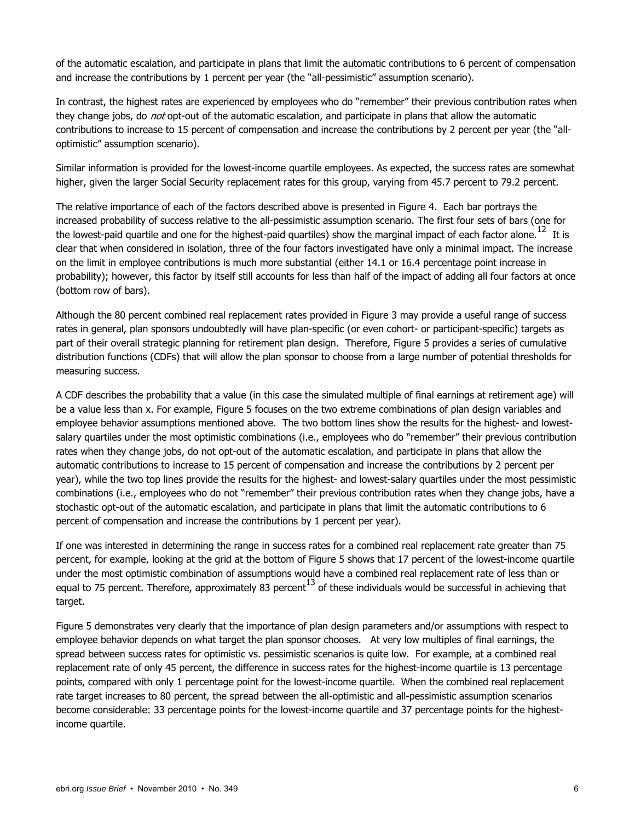of the automatic escalation, and participate in plans that limit the automatic contributions to 6 percent of compensation and increase the contributions by 1 percent per year (the "all-pessimistic" assumption scenario).

In contrast, the highest rates are experienced by employees who do "remember" their previous contribution rates when they change jobs, do *not* opt-out of the automatic escalation, and participate in plans that allow the automatic contributions to increase to 15 percent of compensation and increase the contributions by 2 percent per year (the "alloptimistic" assumption scenario).

Similar information is provided for the lowest-income quartile employees. As expected, the success rates are somewhat higher, given the larger Social Security replacement rates for this group, varying from 45.7 percent to 79.2 percent.

The relative importance of each of the factors described above is presented in Figure 4. Each bar portrays the increased probability of success relative to the all-pessimistic assumption scenario. The first four sets of bars (one for the lowest-paid quartile and one for the highest-paid quartiles) show the marginal impact of each factor alone.<sup>12</sup> It is clear that when considered in isolation, three of the four factors investigated have only a minimal impact. The increase on the limit in employee contributions is much more substantial (either 14.1 or 16.4 percentage point increase in probability); however, this factor by itself still accounts for less than half of the impact of adding all four factors at once (bottom row of bars).

Although the 80 percent combined real replacement rates provided in Figure 3 may provide a useful range of success rates in general, plan sponsors undoubtedly will have plan-specific (or even cohort- or participant-specific) targets as part of their overall strategic planning for retirement plan design. Therefore, Figure 5 provides a series of cumulative distribution functions (CDFs) that will allow the plan sponsor to choose from a large number of potential thresholds for measuring success.

A CDF describes the probability that a value (in this case the simulated multiple of final earnings at retirement age) will be a value less than x. For example, Figure 5 focuses on the two extreme combinations of plan design variables and employee behavior assumptions mentioned above. The two bottom lines show the results for the highest- and lowestsalary quartiles under the most optimistic combinations (i.e., employees who do "remember" their previous contribution rates when they change jobs, do not opt-out of the automatic escalation, and participate in plans that allow the automatic contributions to increase to 15 percent of compensation and increase the contributions by 2 percent per year), while the two top lines provide the results for the highest- and lowest-salary quartiles under the most pessimistic combinations (i.e., employees who do not "remember" their previous contribution rates when they change jobs, have a stochastic opt-out of the automatic escalation, and participate in plans that limit the automatic contributions to 6 percent of compensation and increase the contributions by 1 percent per year).

If one was interested in determining the range in success rates for a combined real replacement rate greater than 75 percent, for example, looking at the grid at the bottom of Figure 5 shows that 17 percent of the lowest-income quartile under the most optimistic combination of assumptions would have a combined real replacement rate of less than or equal to 75 percent. Therefore, approximately 83 percent  $^{13}$  of these individuals would be successful in achieving that target.

Figure 5 demonstrates very clearly that the importance of plan design parameters and/or assumptions with respect to employee behavior depends on what target the plan sponsor chooses. At very low multiples of final earnings, the spread between success rates for optimistic vs. pessimistic scenarios is quite low. For example, at a combined real replacement rate of only 45 percent, the difference in success rates for the highest-income quartile is 13 percentage points, compared with only 1 percentage point for the lowest-income quartile. When the combined real replacement rate target increases to 80 percent, the spread between the all-optimistic and all-pessimistic assumption scenarios become considerable: 33 percentage points for the lowest-income quartile and 37 percentage points for the highestincome quartile.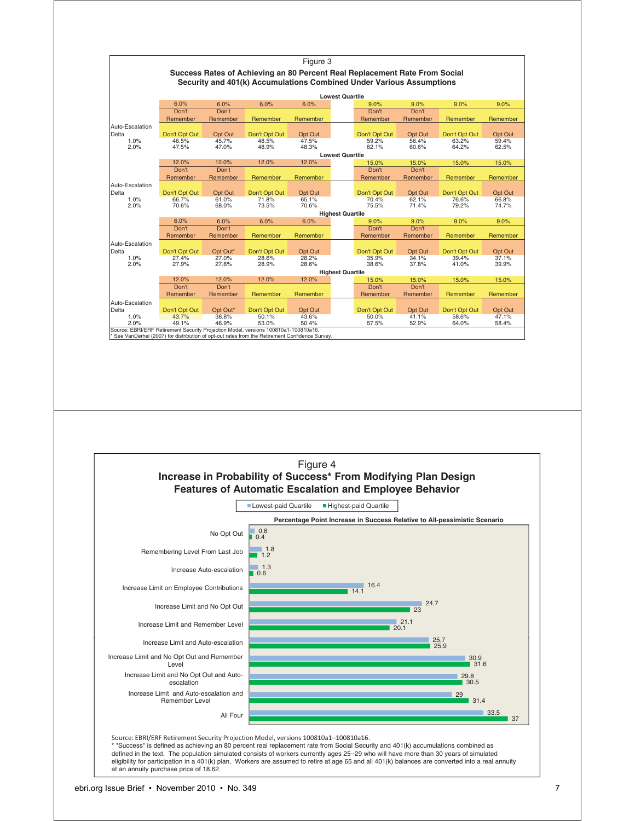

defined in the text. The population simulated consists of workers currently ages 25–29 who will have more than 30 years of simulated eligibility for participation in a 401(k) plan. Workers are assumed to retire at age 65 and all 401(k) balances are converted into a real annuity at an annuity purchase price of 18.62.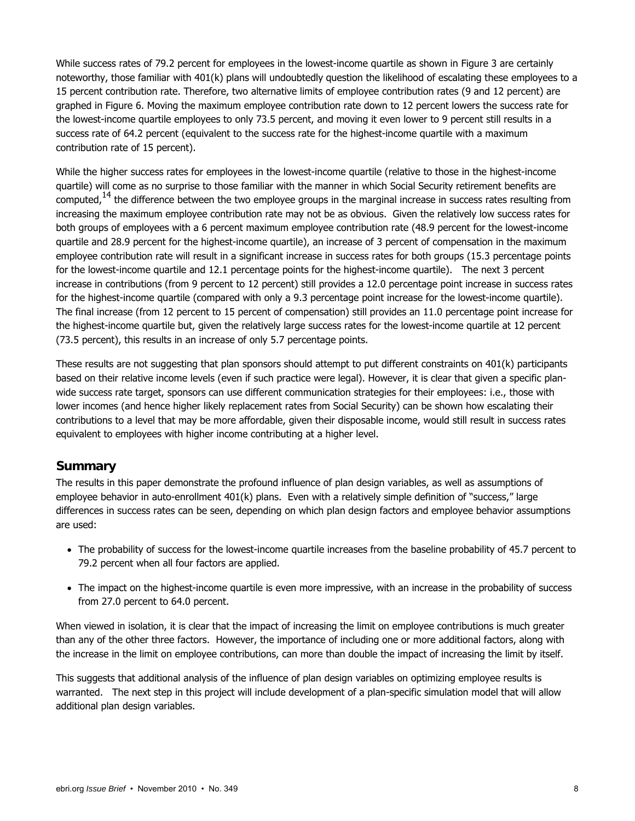While success rates of 79.2 percent for employees in the lowest-income quartile as shown in Figure 3 are certainly noteworthy, those familiar with 401(k) plans will undoubtedly question the likelihood of escalating these employees to a 15 percent contribution rate. Therefore, two alternative limits of employee contribution rates (9 and 12 percent) are graphed in Figure 6. Moving the maximum employee contribution rate down to 12 percent lowers the success rate for the lowest-income quartile employees to only 73.5 percent, and moving it even lower to 9 percent still results in a success rate of 64.2 percent (equivalent to the success rate for the highest-income quartile with a maximum contribution rate of 15 percent).

While the higher success rates for employees in the lowest-income quartile (relative to those in the highest-income quartile) will come as no surprise to those familiar with the manner in which Social Security retirement benefits are computed,<sup>14</sup> the difference between the two employee groups in the marginal increase in success rates resulting from increasing the maximum employee contribution rate may not be as obvious. Given the relatively low success rates for both groups of employees with a 6 percent maximum employee contribution rate (48.9 percent for the lowest-income quartile and 28.9 percent for the highest-income quartile), an increase of 3 percent of compensation in the maximum employee contribution rate will result in a significant increase in success rates for both groups (15.3 percentage points for the lowest-income quartile and 12.1 percentage points for the highest-income quartile). The next 3 percent increase in contributions (from 9 percent to 12 percent) still provides a 12.0 percentage point increase in success rates for the highest-income quartile (compared with only a 9.3 percentage point increase for the lowest-income quartile). The final increase (from 12 percent to 15 percent of compensation) still provides an 11.0 percentage point increase for the highest-income quartile but, given the relatively large success rates for the lowest-income quartile at 12 percent (73.5 percent), this results in an increase of only 5.7 percentage points.

These results are not suggesting that plan sponsors should attempt to put different constraints on 401(k) participants based on their relative income levels (even if such practice were legal). However, it is clear that given a specific planwide success rate target, sponsors can use different communication strategies for their employees: i.e., those with lower incomes (and hence higher likely replacement rates from Social Security) can be shown how escalating their contributions to a level that may be more affordable, given their disposable income, would still result in success rates equivalent to employees with higher income contributing at a higher level.

#### **Summary**

The results in this paper demonstrate the profound influence of plan design variables, as well as assumptions of employee behavior in auto-enrollment 401(k) plans. Even with a relatively simple definition of "success," large differences in success rates can be seen, depending on which plan design factors and employee behavior assumptions are used:

- The probability of success for the lowest-income quartile increases from the baseline probability of 45.7 percent to 79.2 percent when all four factors are applied.
- The impact on the highest-income quartile is even more impressive, with an increase in the probability of success from 27.0 percent to 64.0 percent.

When viewed in isolation, it is clear that the impact of increasing the limit on employee contributions is much greater than any of the other three factors. However, the importance of including one or more additional factors, along with the increase in the limit on employee contributions, can more than double the impact of increasing the limit by itself.

This suggests that additional analysis of the influence of plan design variables on optimizing employee results is warranted. The next step in this project will include development of a plan-specific simulation model that will allow additional plan design variables.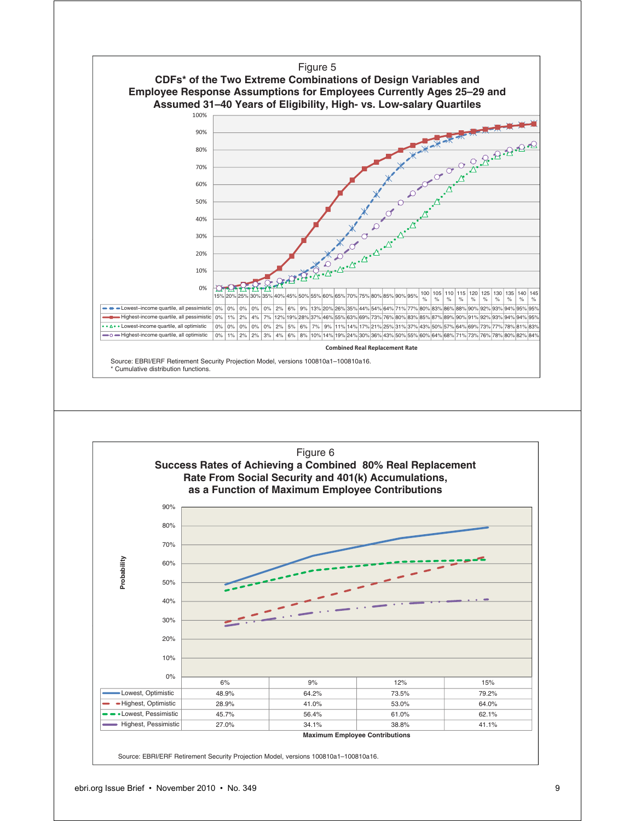

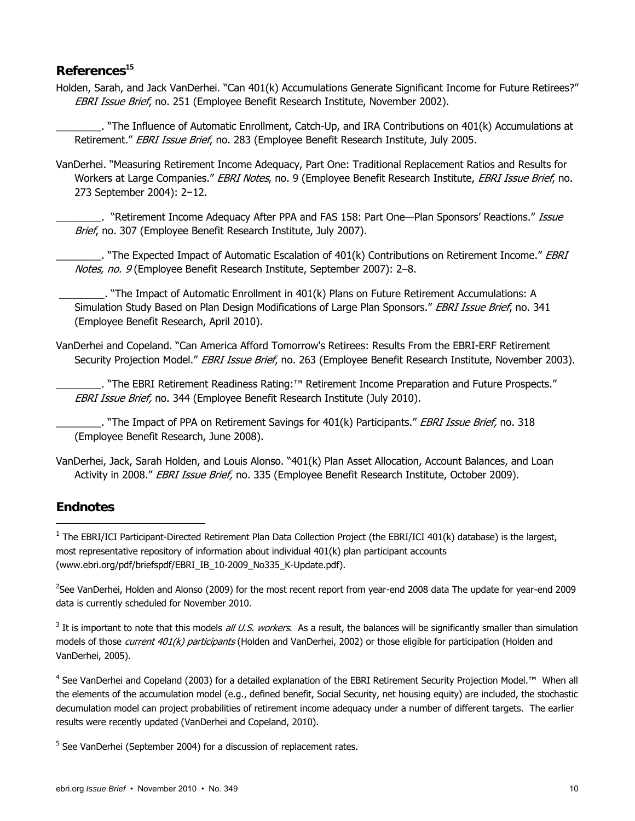#### **References<sup>15</sup>**

Holden, Sarah, and Jack VanDerhei. "Can 401(k) Accumulations Generate Significant Income for Future Retirees?" EBRI Issue Brief, no. 251 (Employee Benefit Research Institute, November 2002).

\_\_\_\_\_\_\_\_. "The Influence of Automatic Enrollment, Catch-Up, and IRA Contributions on 401(k) Accumulations at Retirement." EBRI Issue Brief, no. 283 (Employee Benefit Research Institute, July 2005.

VanDerhei. "Measuring Retirement Income Adequacy, Part One: Traditional Replacement Ratios and Results for Workers at Large Companies." EBRI Notes, no. 9 (Employee Benefit Research Institute, EBRI Issue Brief, no. 273 September 2004): 2−12.

\_\_\_. "Retirement Income Adequacy After PPA and FAS 158: Part One—Plan Sponsors' Reactions." Issue Brief, no. 307 (Employee Benefit Research Institute, July 2007).

. "The Expected Impact of Automatic Escalation of  $401(k)$  Contributions on Retirement Income." *EBRI* Notes, no. 9 (Employee Benefit Research Institute, September 2007): 2–8.

 \_\_\_\_\_\_\_\_. "The Impact of Automatic Enrollment in 401(k) Plans on Future Retirement Accumulations: A Simulation Study Based on Plan Design Modifications of Large Plan Sponsors." EBRI Issue Brief, no. 341 (Employee Benefit Research, April 2010).

VanDerhei and Copeland. "Can America Afford Tomorrow's Retirees: Results From the EBRI-ERF Retirement Security Projection Model." EBRI Issue Brief, no. 263 (Employee Benefit Research Institute, November 2003).

\_\_\_\_\_\_\_\_. "The EBRI Retirement Readiness Rating:™ Retirement Income Preparation and Future Prospects." EBRI Issue Brief, no. 344 (Employee Benefit Research Institute (July 2010).

. "The Impact of PPA on Retirement Savings for 401(k) Participants." EBRI Issue Brief, no. 318 (Employee Benefit Research, June 2008).

VanDerhei, Jack, Sarah Holden, and Louis Alonso. "401(k) Plan Asset Allocation, Account Balances, and Loan Activity in 2008." EBRI Issue Brief, no. 335 (Employee Benefit Research Institute, October 2009).

## **Endnotes**

-

2 See VanDerhei, Holden and Alonso (2009) for the most recent report from year-end 2008 data The update for year-end 2009 data is currently scheduled for November 2010.

 $3$  It is important to note that this models *all U.S. workers*. As a result, the balances will be significantly smaller than simulation models of those current 401(k) participants (Holden and VanDerhei, 2002) or those eligible for participation (Holden and VanDerhei, 2005).

<sup>4</sup> See VanDerhei and Copeland (2003) for a detailed explanation of the EBRI Retirement Security Projection Model.™ When all the elements of the accumulation model (e.g., defined benefit, Social Security, net housing equity) are included, the stochastic decumulation model can project probabilities of retirement income adequacy under a number of different targets. The earlier results were recently updated (VanDerhei and Copeland, 2010).

<sup>5</sup> See VanDerhei (September 2004) for a discussion of replacement rates.

<sup>&</sup>lt;sup>1</sup> The EBRI/ICI Participant-Directed Retirement Plan Data Collection Project (the EBRI/ICI 401(k) database) is the largest, most representative repository of information about individual 401(k) plan participant accounts (www.ebri.org/pdf/briefspdf/EBRI\_IB\_10-2009\_No335\_K-Update.pdf).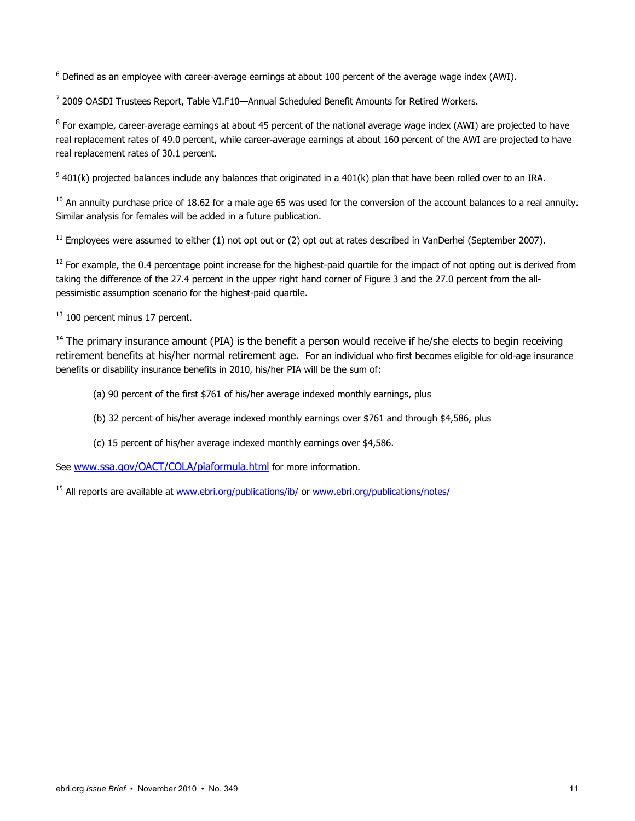$<sup>6</sup>$  Defined as an employee with career-average earnings at about 100 percent of the average wage index (AWI).</sup>

<sup>7</sup> 2009 OASDI Trustees Report, Table VI.F10—Annual Scheduled Benefit Amounts for Retired Workers.

 $^8$  For example, career-average earnings at about 45 percent of the national average wage index (AWI) are projected to have real replacement rates of 49.0 percent, while career-average earnings at about 160 percent of the AWI are projected to have real replacement rates of 30.1 percent.

 $9$  401(k) projected balances include any balances that originated in a 401(k) plan that have been rolled over to an IRA.

 $10$  An annuity purchase price of 18.62 for a male age 65 was used for the conversion of the account balances to a real annuity. Similar analysis for females will be added in a future publication.

 $11$  Employees were assumed to either (1) not opt out or (2) opt out at rates described in VanDerhei (September 2007).

<sup>12</sup> For example, the 0.4 percentage point increase for the highest-paid quartile for the impact of not opting out is derived from taking the difference of the 27.4 percent in the upper right hand corner of Figure 3 and the 27.0 percent from the allpessimistic assumption scenario for the highest-paid quartile.

<sup>13</sup> 100 percent minus 17 percent.

-

 $<sup>14</sup>$  The primary insurance amount (PIA) is the benefit a person would receive if he/she elects to begin receiving</sup> retirement benefits at his/her normal retirement age. For an individual who first becomes eligible for old-age insurance benefits or disability insurance benefits in 2010, his/her PIA will be the sum of:

- (a) 90 percent of the first \$761 of his/her average indexed monthly earnings, plus
- (b) 32 percent of his/her average indexed monthly earnings over \$761 and through \$4,586, plus
- (c) 15 percent of his/her average indexed monthly earnings over \$4,586.

See www.ssa.gov/OACT/COLA/piaformula.html for more information.

<sup>15</sup> All reports are available at www.ebri.org/publications/ib/ or www.ebri.org/publications/notes/